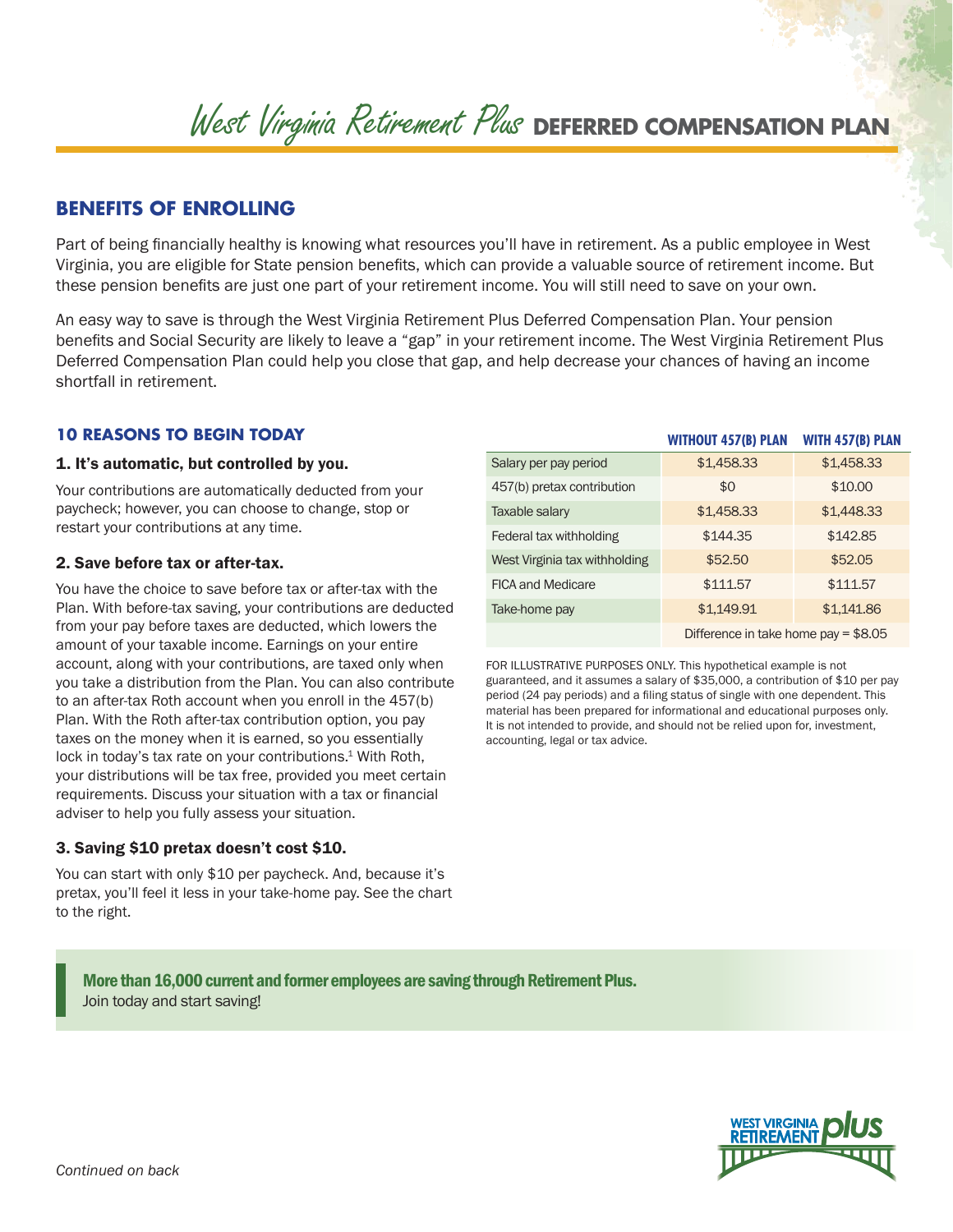# West Virginia Retirement Plus **DEFERRED COMPENSATION PLAN**

# **BENEFITS OF ENROLLING**

Part of being financially healthy is knowing what resources you'll have in retirement. As a public employee in West Virginia, you are eligible for State pension benefits, which can provide a valuable source of retirement income. But these pension benefits are just one part of your retirement income. You will still need to save on your own.

An easy way to save is through the West Virginia Retirement Plus Deferred Compensation Plan. Your pension benefits and Social Security are likely to leave a "gap" in your retirement income. The West Virginia Retirement Plus Deferred Compensation Plan could help you close that gap, and help decrease your chances of having an income shortfall in retirement.

# **10 REASONS TO BEGIN TODAY**

#### 1. It's automatic, but controlled by you.

Your contributions are automatically deducted from your paycheck; however, you can choose to change, stop or restart your contributions at any time.

## 2. Save before tax or after-tax.

You have the choice to save before tax or after-tax with the Plan. With before-tax saving, your contributions are deducted from your pay before taxes are deducted, which lowers the amount of your taxable income. Earnings on your entire account, along with your contributions, are taxed only when you take a distribution from the Plan. You can also contribute to an after-tax Roth account when you enroll in the 457(b) Plan. With the Roth after-tax contribution option, you pay taxes on the money when it is earned, so you essentially lock in today's tax rate on your contributions.<sup>1</sup> With Roth, your distributions will be tax free, provided you meet certain requirements. Discuss your situation with a tax or financial adviser to help you fully assess your situation.

# 3. Saving \$10 pretax doesn't cost \$10.

You can start with only \$10 per paycheck. And, because it's pretax, you'll feel it less in your take-home pay. See the chart to the right.

|                               | <b>WITHOUT 457(B) PLAN</b>            | WITH 457(B) PLAN |
|-------------------------------|---------------------------------------|------------------|
| Salary per pay period         | \$1,458.33                            | \$1,458.33       |
| 457(b) pretax contribution    | \$0                                   | \$10.00          |
| Taxable salary                | \$1,458.33                            | \$1,448.33       |
| Federal tax withholding       | \$144.35                              | \$142.85         |
| West Virginia tax withholding | \$52.50                               | \$52.05          |
| <b>FICA and Medicare</b>      | \$111.57                              | \$111.57         |
| Take-home pay                 | \$1,149.91                            | \$1,141.86       |
|                               | Difference in take home pay = $$8.05$ |                  |

FOR ILLUSTRATIVE PURPOSES ONLY. This hypothetical example is not guaranteed, and it assumes a salary of \$35,000, a contribution of \$10 per pay period (24 pay periods) and a filing status of single with one dependent. This material has been prepared for informational and educational purposes only. It is not intended to provide, and should not be relied upon for, investment, accounting, legal or tax advice.

More than 16,000 current and former employees are saving through Retirement Plus. Join today and start saving!